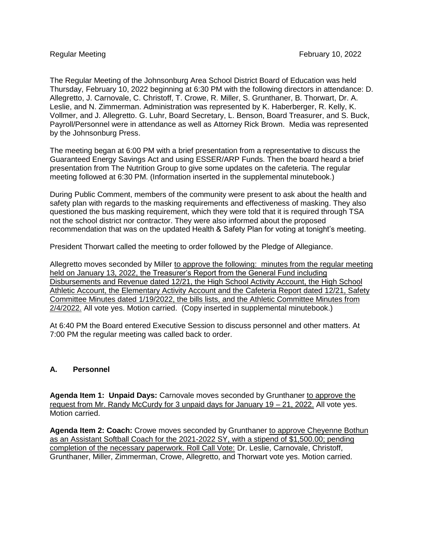The Regular Meeting of the Johnsonburg Area School District Board of Education was held Thursday, February 10, 2022 beginning at 6:30 PM with the following directors in attendance: D. Allegretto, J. Carnovale, C. Christoff, T. Crowe, R. Miller, S. Grunthaner, B. Thorwart, Dr. A. Leslie, and N. Zimmerman. Administration was represented by K. Haberberger, R. Kelly, K. Vollmer, and J. Allegretto. G. Luhr, Board Secretary, L. Benson, Board Treasurer, and S. Buck, Payroll/Personnel were in attendance as well as Attorney Rick Brown. Media was represented by the Johnsonburg Press.

The meeting began at 6:00 PM with a brief presentation from a representative to discuss the Guaranteed Energy Savings Act and using ESSER/ARP Funds. Then the board heard a brief presentation from The Nutrition Group to give some updates on the cafeteria. The regular meeting followed at 6:30 PM. (Information inserted in the supplemental minutebook.)

During Public Comment, members of the community were present to ask about the health and safety plan with regards to the masking requirements and effectiveness of masking. They also questioned the bus masking requirement, which they were told that it is required through TSA not the school district nor contractor. They were also informed about the proposed recommendation that was on the updated Health & Safety Plan for voting at tonight's meeting.

President Thorwart called the meeting to order followed by the Pledge of Allegiance.

Allegretto moves seconded by Miller to approve the following: minutes from the regular meeting held on January 13, 2022, the Treasurer's Report from the General Fund including Disbursements and Revenue dated 12/21, the High School Activity Account, the High School Athletic Account, the Elementary Activity Account and the Cafeteria Report dated 12/21, Safety Committee Minutes dated 1/19/2022, the bills lists, and the Athletic Committee Minutes from 2/4/2022. All vote yes. Motion carried. (Copy inserted in supplemental minutebook.)

At 6:40 PM the Board entered Executive Session to discuss personnel and other matters. At 7:00 PM the regular meeting was called back to order.

## **A. Personnel**

**Agenda Item 1: Unpaid Days:** Carnovale moves seconded by Grunthaner to approve the request from Mr. Randy McCurdy for 3 unpaid days for January 19 – 21, 2022. All vote yes. Motion carried.

**Agenda Item 2: Coach:** Crowe moves seconded by Grunthaner to approve Cheyenne Bothun as an Assistant Softball Coach for the 2021-2022 SY, with a stipend of \$1,500.00; pending completion of the necessary paperwork. Roll Call Vote: Dr. Leslie, Carnovale, Christoff, Grunthaner, Miller, Zimmerman, Crowe, Allegretto, and Thorwart vote yes. Motion carried.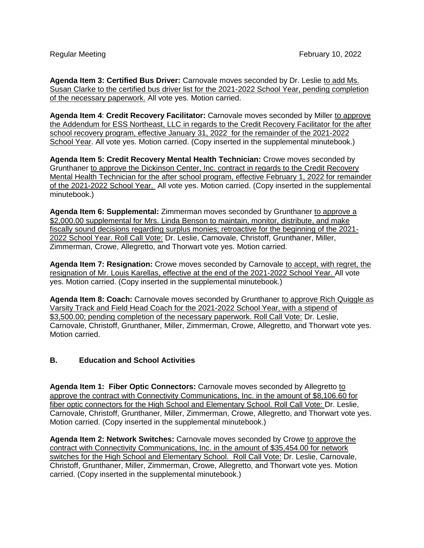**Agenda Item 3: Certified Bus Driver:** Carnovale moves seconded by Dr. Leslie to add Ms. Susan Clarke to the certified bus driver list for the 2021-2022 School Year, pending completion of the necessary paperwork. All vote yes. Motion carried.

**Agenda Item 4**: **Credit Recovery Facilitator:** Carnovale moves seconded by Miller to approve the Addendum for ESS Northeast, LLC in regards to the Credit Recovery Facilitator for the after school recovery program, effective January 31, 2022 for the remainder of the 2021-2022 School Year. All vote yes. Motion carried. (Copy inserted in the supplemental minutebook.)

**Agenda Item 5: Credit Recovery Mental Health Technician:** Crowe moves seconded by Grunthaner to approve the Dickinson Center, Inc. contract in regards to the Credit Recovery Mental Health Technician for the after school program, effective February 1, 2022 for remainder of the 2021-2022 School Year. All vote yes. Motion carried. (Copy inserted in the supplemental minutebook.)

**Agenda Item 6: Supplemental:** Zimmerman moves seconded by Grunthaner to approve a \$2,000.00 supplemental for Mrs. Linda Benson to maintain, monitor, distribute, and make fiscally sound decisions regarding surplus monies; retroactive for the beginning of the 2021- 2022 School Year. Roll Call Vote: Dr. Leslie, Carnovale, Christoff, Grunthaner, Miller, Zimmerman, Crowe, Allegretto, and Thorwart vote yes. Motion carried.

**Agenda Item 7: Resignation:** Crowe moves seconded by Carnovale to accept, with regret, the resignation of Mr. Louis Karellas, effective at the end of the 2021-2022 School Year. All vote yes. Motion carried. (Copy inserted in the supplemental minutebook.)

**Agenda Item 8: Coach:** Carnovale moves seconded by Grunthaner to approve Rich Quiggle as Varsity Track and Field Head Coach for the 2021-2022 School Year, with a stipend of \$3,500.00; pending completion of the necessary paperwork. Roll Call Vote: Dr. Leslie, Carnovale, Christoff, Grunthaner, Miller, Zimmerman, Crowe, Allegretto, and Thorwart vote yes. Motion carried.

## **B. Education and School Activities**

**Agenda Item 1: Fiber Optic Connectors:** Carnovale moves seconded by Allegretto to approve the contract with Connectivity Communications, Inc. in the amount of \$8,106.60 for fiber optic connectors for the High School and Elementary School. Roll Call Vote: Dr. Leslie, Carnovale, Christoff, Grunthaner, Miller, Zimmerman, Crowe, Allegretto, and Thorwart vote yes. Motion carried. (Copy inserted in the supplemental minutebook.)

**Agenda Item 2: Network Switches:** Carnovale moves seconded by Crowe to approve the contract with Connectivity Communications, Inc. in the amount of \$35,454.00 for network switches for the High School and Elementary School. Roll Call Vote: Dr. Leslie, Carnovale, Christoff, Grunthaner, Miller, Zimmerman, Crowe, Allegretto, and Thorwart vote yes. Motion carried. (Copy inserted in the supplemental minutebook.)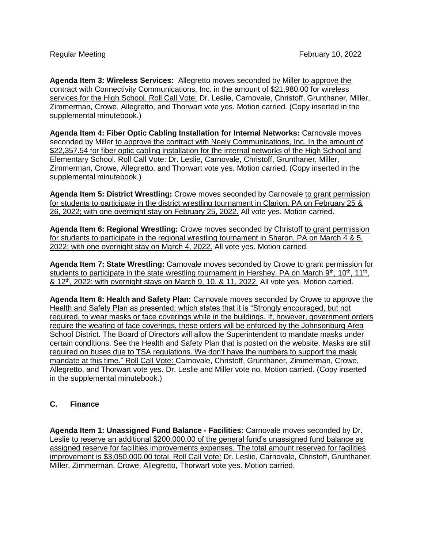**Agenda Item 3: Wireless Services:** Allegretto moves seconded by Miller to approve the contract with Connectivity Communications, Inc. in the amount of \$21,980.00 for wireless services for the High School. Roll Call Vote: Dr. Leslie, Carnovale, Christoff, Grunthaner, Miller, Zimmerman, Crowe, Allegretto, and Thorwart vote yes. Motion carried. (Copy inserted in the supplemental minutebook.)

**Agenda Item 4: Fiber Optic Cabling Installation for Internal Networks:** Carnovale moves seconded by Miller to approve the contract with Neely Communications, Inc. In the amount of \$22,357.54 for fiber optic cabling installation for the internal networks of the High School and Elementary School. Roll Call Vote: Dr. Leslie, Carnovale, Christoff, Grunthaner, Miller, Zimmerman, Crowe, Allegretto, and Thorwart vote yes. Motion carried. (Copy inserted in the supplemental minutebook.)

**Agenda Item 5: District Wrestling:** Crowe moves seconded by Carnovale to grant permission for students to participate in the district wrestling tournament in Clarion, PA on February 25 & 26, 2022; with one overnight stay on February 25, 2022. All vote yes. Motion carried.

**Agenda Item 6: Regional Wrestling:** Crowe moves seconded by Christoff to grant permission for students to participate in the regional wrestling tournament in Sharon, PA on March 4 & 5, 2022; with one overnight stay on March 4, 2022. All vote yes. Motion carried.

**Agenda Item 7: State Wrestling:** Carnovale moves seconded by Crowe to grant permission for students to participate in the state wrestling tournament in Hershey, PA on March 9<sup>th</sup>, 10<sup>th</sup>, 11<sup>th</sup>, & 12<sup>th</sup>, 2022; with overnight stays on March 9, 10, & 11, 2022. All vote yes. Motion carried.

**Agenda Item 8: Health and Safety Plan:** Carnovale moves seconded by Crowe to approve the Health and Safety Plan as presented; which states that it is "Strongly encouraged, but not required, to wear masks or face coverings while in the buildings. If, however, government orders require the wearing of face coverings, these orders will be enforced by the Johnsonburg Area School District. The Board of Directors will allow the Superintendent to mandate masks under certain conditions. See the Health and Safety Plan that is posted on the website. Masks are still required on buses due to TSA regulations. We don't have the numbers to support the mask mandate at this time." Roll Call Vote: Carnovale, Christoff, Grunthaner, Zimmerman, Crowe, Allegretto, and Thorwart vote yes. Dr. Leslie and Miller vote no. Motion carried. (Copy inserted in the supplemental minutebook.)

## **C. Finance**

**Agenda Item 1: Unassigned Fund Balance - Facilities:** Carnovale moves seconded by Dr. Leslie to reserve an additional \$200,000.00 of the general fund's unassigned fund balance as assigned reserve for facilities improvements expenses. The total amount reserved for facilities improvement is \$3,050,000.00 total. Roll Call Vote: Dr. Leslie, Carnovale, Christoff, Grunthaner, Miller, Zimmerman, Crowe, Allegretto, Thorwart vote yes. Motion carried.